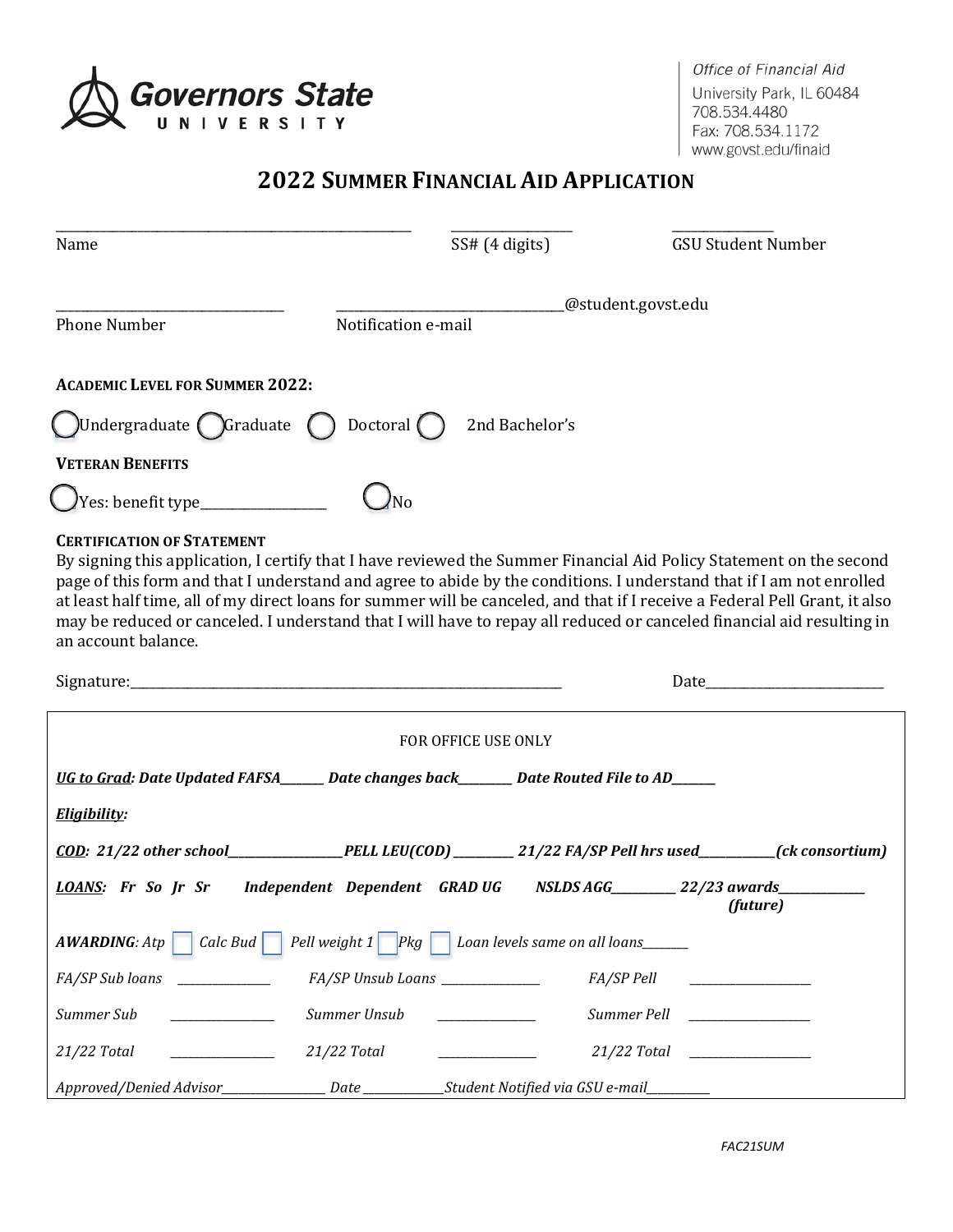

Office of Financial Aid University Park, IL 60484 708.534.4480 Fax: 708.534.1172 www.govst.edu/finaid

# **2022 SUMMER FINANCIAL AID APPLICATION**

| Name                                                                                                                                                                                                                                                                                                                                                                                                                                                                                                                                                            |                                           | SS# (4 digits)                                                                                                                                                                                                                       |             | <b>GSU Student Number</b>                                                                                                                                                                                                      |
|-----------------------------------------------------------------------------------------------------------------------------------------------------------------------------------------------------------------------------------------------------------------------------------------------------------------------------------------------------------------------------------------------------------------------------------------------------------------------------------------------------------------------------------------------------------------|-------------------------------------------|--------------------------------------------------------------------------------------------------------------------------------------------------------------------------------------------------------------------------------------|-------------|--------------------------------------------------------------------------------------------------------------------------------------------------------------------------------------------------------------------------------|
| <b>Phone Number</b>                                                                                                                                                                                                                                                                                                                                                                                                                                                                                                                                             | @student.govst.edu<br>Notification e-mail |                                                                                                                                                                                                                                      |             |                                                                                                                                                                                                                                |
| <b>ACADEMIC LEVEL FOR SUMMER 2022:</b>                                                                                                                                                                                                                                                                                                                                                                                                                                                                                                                          |                                           |                                                                                                                                                                                                                                      |             |                                                                                                                                                                                                                                |
| $\bigcup$ Undergraduate $\bigcirc$ Graduate $\bigcirc$ Doctoral $\bigcirc$                                                                                                                                                                                                                                                                                                                                                                                                                                                                                      |                                           | 2nd Bachelor's                                                                                                                                                                                                                       |             |                                                                                                                                                                                                                                |
| <b>VETERAN BENEFITS</b>                                                                                                                                                                                                                                                                                                                                                                                                                                                                                                                                         |                                           |                                                                                                                                                                                                                                      |             |                                                                                                                                                                                                                                |
|                                                                                                                                                                                                                                                                                                                                                                                                                                                                                                                                                                 |                                           |                                                                                                                                                                                                                                      |             |                                                                                                                                                                                                                                |
| <b>CERTIFICATION OF STATEMENT</b><br>By signing this application, I certify that I have reviewed the Summer Financial Aid Policy Statement on the second<br>page of this form and that I understand and agree to abide by the conditions. I understand that if I am not enrolled<br>at least half time, all of my direct loans for summer will be canceled, and that if I receive a Federal Pell Grant, it also<br>may be reduced or canceled. I understand that I will have to repay all reduced or canceled financial aid resulting in<br>an account balance. |                                           |                                                                                                                                                                                                                                      |             |                                                                                                                                                                                                                                |
|                                                                                                                                                                                                                                                                                                                                                                                                                                                                                                                                                                 |                                           |                                                                                                                                                                                                                                      |             | Date and the contract of the contract of the contract of the contract of the contract of the contract of the contract of the contract of the contract of the contract of the contract of the contract of the contract of the c |
|                                                                                                                                                                                                                                                                                                                                                                                                                                                                                                                                                                 |                                           | FOR OFFICE USE ONLY                                                                                                                                                                                                                  |             |                                                                                                                                                                                                                                |
| UG to Grad: Date Updated FAFSA______ Date changes back_______ Date Routed File to AD_____                                                                                                                                                                                                                                                                                                                                                                                                                                                                       |                                           |                                                                                                                                                                                                                                      |             |                                                                                                                                                                                                                                |
| Eligibility:                                                                                                                                                                                                                                                                                                                                                                                                                                                                                                                                                    |                                           |                                                                                                                                                                                                                                      |             |                                                                                                                                                                                                                                |
| $\overline{COD}$ : 21/22 other school___________________PELL LEU(COD)__________21/22 FA/SP Pell hrs used_________(ck consortium)                                                                                                                                                                                                                                                                                                                                                                                                                                |                                           |                                                                                                                                                                                                                                      |             |                                                                                                                                                                                                                                |
| LOANS: Fr So Jr Sr Independent Dependent GRAD UG NSLDS AGG 22/23 awards                                                                                                                                                                                                                                                                                                                                                                                                                                                                                         |                                           |                                                                                                                                                                                                                                      |             | (future)                                                                                                                                                                                                                       |
| Calc Bud<br><b>AWARDING: Atp</b>                                                                                                                                                                                                                                                                                                                                                                                                                                                                                                                                | Pell weight $1$<br>$P$ <sub>kg</sub>      | Loan levels same on all loans______                                                                                                                                                                                                  |             |                                                                                                                                                                                                                                |
| FA/SP Sub loans                                                                                                                                                                                                                                                                                                                                                                                                                                                                                                                                                 | FA/SP Unsub Loans _____________           |                                                                                                                                                                                                                                      | FA/SP Pell  |                                                                                                                                                                                                                                |
| Summer Sub<br><b>Contract Contract Contract</b>                                                                                                                                                                                                                                                                                                                                                                                                                                                                                                                 | Summer Unsub                              | <u> The Community of the Community of the Community of the Community of the Community of the Community of the Community of the Community of the Community of the Community of the Community of the Community of the Community of</u> | Summer Pell | <u> 1989 - Johann Barbara, martxa a</u>                                                                                                                                                                                        |
| 21/22 Total                                                                                                                                                                                                                                                                                                                                                                                                                                                                                                                                                     | 21/22 Total                               |                                                                                                                                                                                                                                      | 21/22 Total | <u> 1989 - Johann Barbara, martxa a</u>                                                                                                                                                                                        |
|                                                                                                                                                                                                                                                                                                                                                                                                                                                                                                                                                                 |                                           |                                                                                                                                                                                                                                      |             |                                                                                                                                                                                                                                |